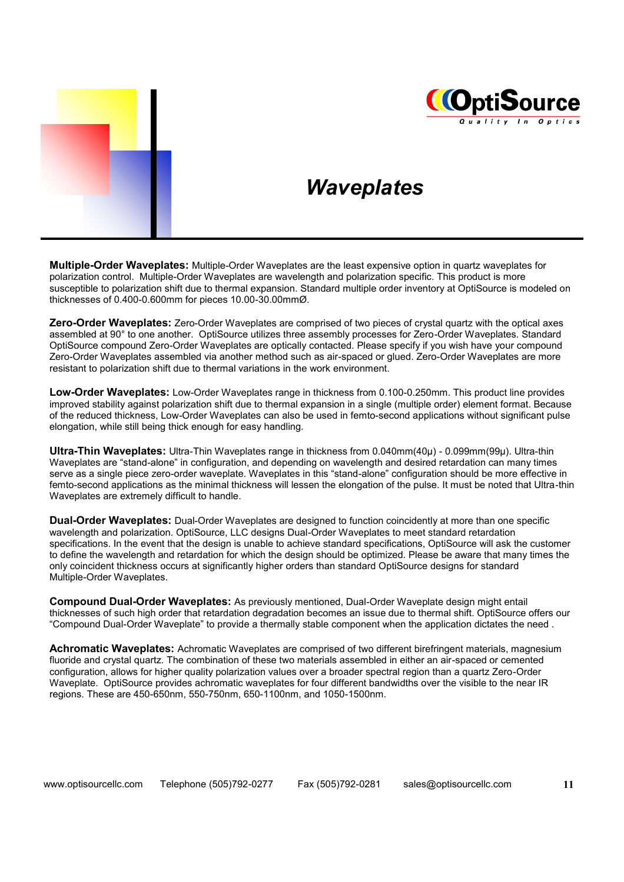



### *Waveplates*

**Multiple-Order Waveplates:** Multiple-Order Waveplates are the least expensive option in quartz waveplates for polarization control. Multiple-Order Waveplates are wavelength and polarization specific. This product is more susceptible to polarization shift due to thermal expansion. Standard multiple order inventory at OptiSource is modeled on thicknesses of 0.400-0.600mm for pieces 10.00-30.00mmØ.

**Zero-Order Waveplates:** Zero-Order Waveplates are comprised of two pieces of crystal quartz with the optical axes assembled at 90° to one another. OptiSource utilizes three assembly processes for Zero-Order Waveplates. Standard OptiSource compound Zero-Order Waveplates are optically contacted. Please specify if you wish have your compound Zero-Order Waveplates assembled via another method such as air-spaced or glued. Zero-Order Waveplates are more resistant to polarization shift due to thermal variations in the work environment.

**Low-Order Waveplates:** Low-Order Waveplates range in thickness from 0.100-0.250mm. This product line provides improved stability against polarization shift due to thermal expansion in a single (multiple order) element format. Because of the reduced thickness, Low-Order Waveplates can also be used in femto-second applications without significant pulse elongation, while still being thick enough for easy handling.

**Ultra-Thin Waveplates:** Ultra-Thin Waveplates range in thickness from 0.040mm(40µ) - 0.099mm(99µ). Ultra-thin Waveplates are "stand-alone" in configuration, and depending on wavelength and desired retardation can many times serve as a single piece zero-order waveplate. Waveplates in this "stand-alone" configuration should be more effective in femto-second applications as the minimal thickness will lessen the elongation of the pulse. It must be noted that Ultra-thin Waveplates are extremely difficult to handle.

**Dual-Order Waveplates:** Dual-Order Waveplates are designed to function coincidently at more than one specific wavelength and polarization. OptiSource, LLC designs Dual-Order Waveplates to meet standard retardation specifications. In the event that the design is unable to achieve standard specifications, OptiSource will ask the customer to define the wavelength and retardation for which the design should be optimized. Please be aware that many times the only coincident thickness occurs at significantly higher orders than standard OptiSource designs for standard Multiple-Order Waveplates.

**Compound Dual-Order Waveplates:** As previously mentioned, Dual-Order Waveplate design might entail thicknesses of such high order that retardation degradation becomes an issue due to thermal shift. OptiSource offers our "Compound Dual-Order Waveplate" to provide a thermally stable component when the application dictates the need .

**Achromatic Waveplates:** Achromatic Waveplates are comprised of two different birefringent materials, magnesium fluoride and crystal quartz. The combination of these two materials assembled in either an air-spaced or cemented configuration, allows for higher quality polarization values over a broader spectral region than a quartz Zero-Order Waveplate. OptiSource provides achromatic waveplates for four different bandwidths over the visible to the near IR regions. These are 450-650nm, 550-750nm, 650-1100nm, and 1050-1500nm.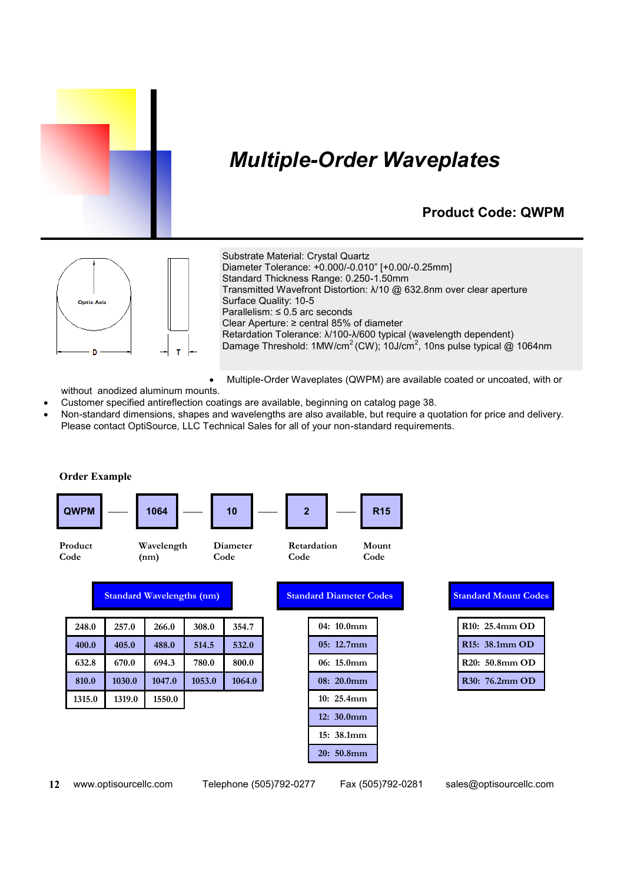

# *Multiple-Order Waveplates*

#### **Product Code: QWPM**



Substrate Material: Crystal Quartz Diameter Tolerance: +0.000/-0.010" [+0.00/-0.25mm] Standard Thickness Range: 0.250-1.50mm Transmitted Wavefront Distortion: λ/10 @ 632.8nm over clear aperture Surface Quality: 10-5 Parallelism: ≤ 0.5 arc seconds Clear Aperture: ≥ central 85% of diameter Retardation Tolerance: λ/100-λ/600 typical (wavelength dependent) Damage Threshold: 1MW/cm<sup>2</sup> (CW); 10J/cm<sup>2</sup>, 10ns pulse typical @ 1064nm

Multiple-Order Waveplates (QWPM) are available coated or uncoated, with or

without anodized aluminum mounts.

- Customer specified antireflection coatings are available, beginning on catalog page 38.
- Non-standard dimensions, shapes and wavelengths are also available, but require a quotation for price and delivery. Please contact OptiSource, LLC Technical Sales for all of your non-standard requirements.



**12** www.optisourcellc.com Telephone (505)792-0277 Fax (505)792-0281 sales@optisourcellc.com

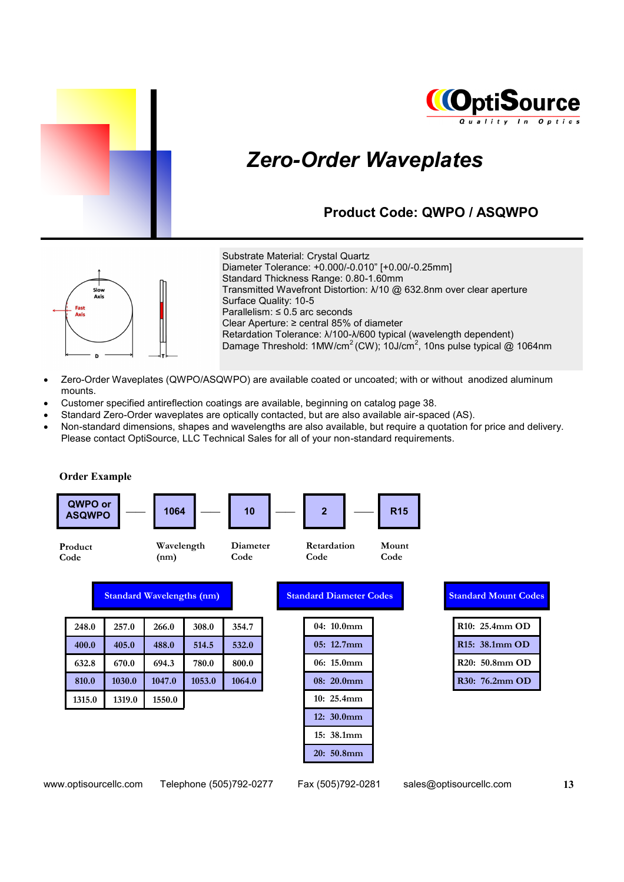



# *Zero-Order Waveplates*

#### **Product Code: QWPO / ASQWPO**



Substrate Material: Crystal Quartz Diameter Tolerance: +0.000/-0.010" [+0.00/-0.25mm] Standard Thickness Range: 0.80-1.60mm Transmitted Wavefront Distortion: λ/10 @ 632.8nm over clear aperture Surface Quality: 10-5 Parallelism: ≤ 0.5 arc seconds Clear Aperture: ≥ central 85% of diameter Retardation Tolerance: λ/100-λ/600 typical (wavelength dependent) Damage Threshold: 1MW/cm<sup>2</sup> (CW); 10J/cm<sup>2</sup>, 10ns pulse typical @ 1064nm

- Zero-Order Waveplates (QWPO/ASQWPO) are available coated or uncoated; with or without anodized aluminum mounts.
- Customer specified antireflection coatings are available, beginning on catalog page 38.
- Standard Zero-Order waveplates are optically contacted, but are also available air-spaced (AS).
- x Non-standard dimensions, shapes and wavelengths are also available, but require a quotation for price and delivery. Please contact OptiSource, LLC Technical Sales for all of your non-standard requirements.

**QWPO or**  $\begin{bmatrix} 2 \text{WPO} & 0 \\ 0 \text{WPO} & 0 \end{bmatrix}$  — | 1064 | — | 10 | — | 2 | — | R15 **Order Example Product Code Wavelength (nm) Retardation Code Diameter Code Mount Code Standard Wavelengths (nm) Standard Diameter Codes 04: 10.0mm 248.0 257.0 266.0 308.0 354.7**

| 400.0  | 405.0  | 488.0  | 514.5  | 532.0  |
|--------|--------|--------|--------|--------|
| 632.8  | 670.0  | 694.3  | 780.0  | 800.0  |
| 810.0  | 1030.0 | 1047.0 | 1053.0 | 1064.0 |
| 1315.0 | 1319.0 | 1550.0 |        |        |

| 04:10.0mm     |
|---------------|
| 05: 12.7mm    |
| 06: 15.0mm    |
| $08: 20.0$ mm |
| 10:25.4mm     |
| 12: 30.0mm    |
| 15:38.1mm     |
| 20:50.8mm     |

| Standard Mount Codes |                                                                      |  |  |  |
|----------------------|----------------------------------------------------------------------|--|--|--|
|                      |                                                                      |  |  |  |
|                      |                                                                      |  |  |  |
|                      |                                                                      |  |  |  |
|                      |                                                                      |  |  |  |
|                      |                                                                      |  |  |  |
|                      | R10: 25.4mm OD<br>R15: 38.1mm OD<br>R20: 50.8mm OD<br>R30: 76.2mm OD |  |  |  |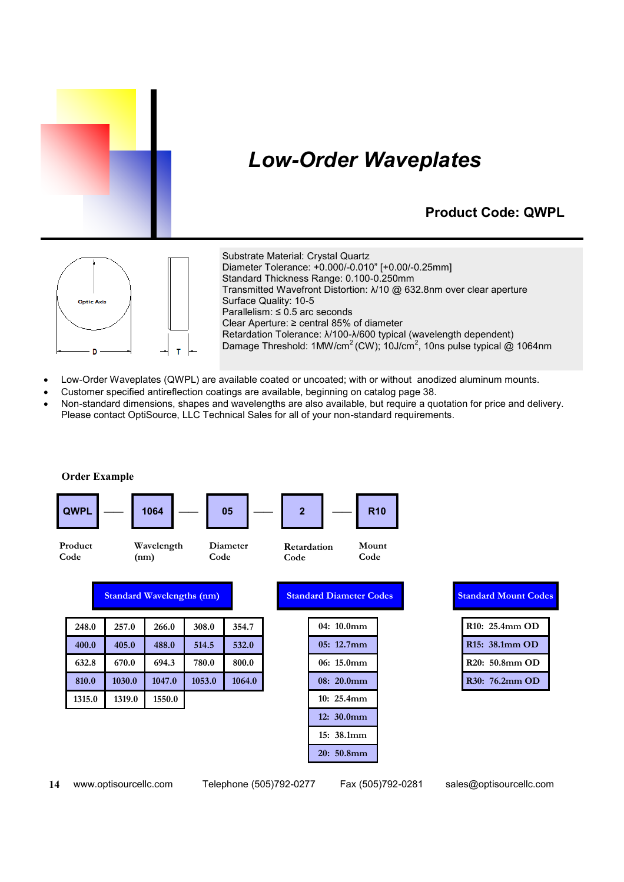

# *Low-Order Waveplates*

### **Product Code: QWPL**



Substrate Material: Crystal Quartz Diameter Tolerance: +0.000/-0.010" [+0.00/-0.25mm] Standard Thickness Range: 0.100-0.250mm Transmitted Wavefront Distortion: λ/10 @ 632.8nm over clear aperture Surface Quality: 10-5 Parallelism: ≤ 0.5 arc seconds Clear Aperture: ≥ central 85% of diameter Retardation Tolerance: λ/100-λ/600 typical (wavelength dependent) Damage Threshold: 1MW/cm<sup>2</sup> (CW); 10J/cm<sup>2</sup>, 10ns pulse typical @ 1064nm

- Low-Order Waveplates (QWPL) are available coated or uncoated; with or without anodized aluminum mounts.
- Customer specified antireflection coatings are available, beginning on catalog page 38.
- x Non-standard dimensions, shapes and wavelengths are also available, but require a quotation for price and delivery. Please contact OptiSource, LLC Technical Sales for all of your non-standard requirements.



**14** www.optisourcellc.com Telephone (505)792-0277 Fax (505)792-0281 sales@optisourcellc.com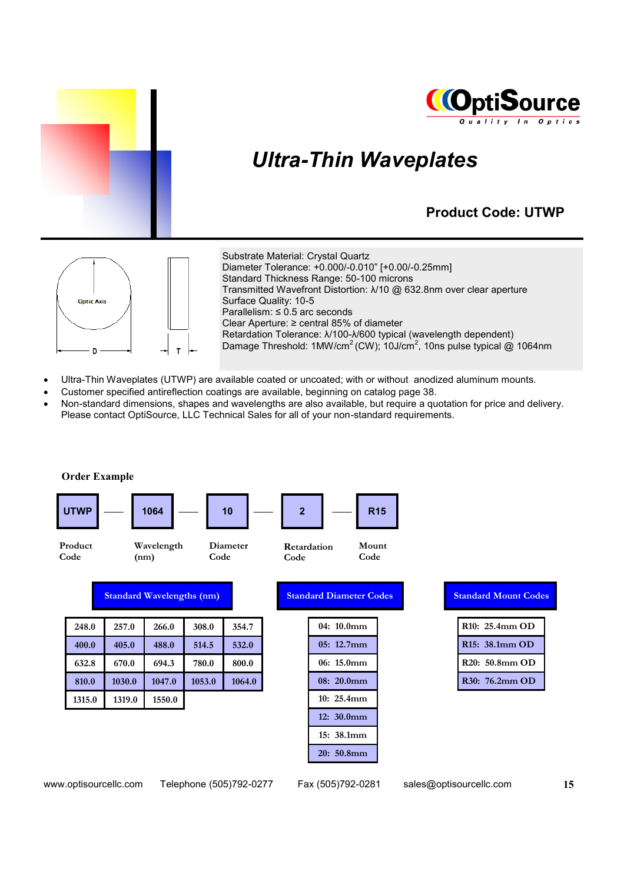



# *Ultra-Thin Waveplates*

### **Product Code: UTWP**



Substrate Material: Crystal Quartz Diameter Tolerance: +0.000/-0.010" [+0.00/-0.25mm] Standard Thickness Range: 50-100 microns Transmitted Wavefront Distortion: λ/10 @ 632.8nm over clear aperture Surface Quality: 10-5 Parallelism: ≤ 0.5 arc seconds Clear Aperture: ≥ central 85% of diameter Retardation Tolerance: λ/100-λ/600 typical (wavelength dependent) Damage Threshold: 1MW/cm<sup>2</sup> (CW); 10J/cm<sup>2</sup>, 10ns pulse typical @ 1064nm

- Ultra-Thin Waveplates (UTWP) are available coated or uncoated; with or without anodized aluminum mounts.
- Customer specified antireflection coatings are available, beginning on catalog page 38.
- x Non-standard dimensions, shapes and wavelengths are also available, but require a quotation for price and delivery. Please contact OptiSource, LLC Technical Sales for all of your non-standard requirements.

| <b>Order Example</b> |                                  |                    |        |          |                |                                |               |                             |  |
|----------------------|----------------------------------|--------------------|--------|----------|----------------|--------------------------------|---------------|-----------------------------|--|
| <b>UTWP</b>          |                                  | 1064               |        | 10       | $\overline{2}$ |                                | <b>R15</b>    |                             |  |
| Product<br>Code      |                                  | Wavelength<br>(nm) | Code   | Diameter | Code           | Retardation                    | Mount<br>Code |                             |  |
|                      | <b>Standard Wavelengths (nm)</b> |                    |        |          |                | <b>Standard Diameter Codes</b> |               | <b>Standard Mount Codes</b> |  |
| 248.0                | 257.0                            | 266.0              | 308.0  | 354.7    |                | 04: 10.0mm                     |               | R10: 25.4mm OD              |  |
| 400.0                | 405.0                            | 488.0              | 514.5  | 532.0    |                | 05: 12.7mm                     |               | R15: 38.1mm OD              |  |
| 632.8                | 670.0                            | 694.3              | 780.0  | 800.0    |                | 06: 15.0mm                     |               | R20: 50.8mm OD              |  |
| 810.0                | 1030.0                           | 1047.0             | 1053.0 | 1064.0   |                | 08: 20.0mm                     |               | R30: 76.2mm OD              |  |
| 1315.0               | 1319.0                           | 1550.0             |        |          |                | 10: 25.4mm                     |               |                             |  |
|                      |                                  |                    |        |          |                | 12: 30.0mm                     |               |                             |  |
|                      |                                  |                    |        |          |                | 15: 38.1mm                     |               |                             |  |
|                      |                                  |                    |        |          |                | 20: 50.8mm                     |               |                             |  |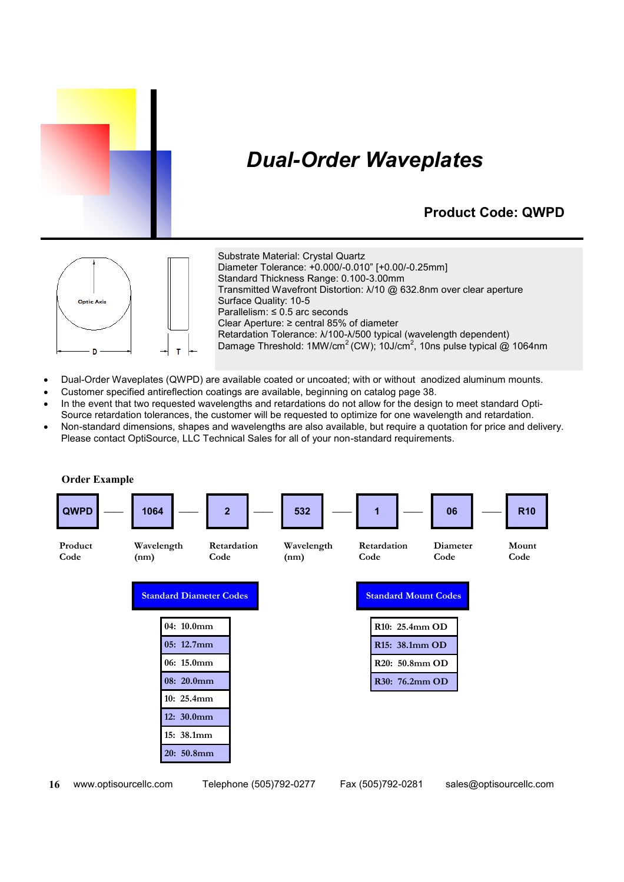

# *Dual-Order Waveplates*

### **Product Code: QWPD**



Substrate Material: Crystal Quartz Diameter Tolerance: +0.000/-0.010" [+0.00/-0.25mm] Standard Thickness Range: 0.100-3.00mm Transmitted Wavefront Distortion: λ/10 @ 632.8nm over clear aperture Surface Quality: 10-5 Parallelism: ≤ 0.5 arc seconds Clear Aperture: ≥ central 85% of diameter Retardation Tolerance: λ/100-λ/500 typical (wavelength dependent) Damage Threshold: 1MW/cm<sup>2</sup> (CW); 10J/cm<sup>2</sup>, 10ns pulse typical @ 1064nm

- Dual-Order Waveplates (QWPD) are available coated or uncoated; with or without anodized aluminum mounts.
- Customer specified antireflection coatings are available, beginning on catalog page 38.
- In the event that two requested wavelengths and retardations do not allow for the design to meet standard Opti-Source retardation tolerances, the customer will be requested to optimize for one wavelength and retardation.
- x Non-standard dimensions, shapes and wavelengths are also available, but require a quotation for price and delivery. Please contact OptiSource, LLC Technical Sales for all of your non-standard requirements.



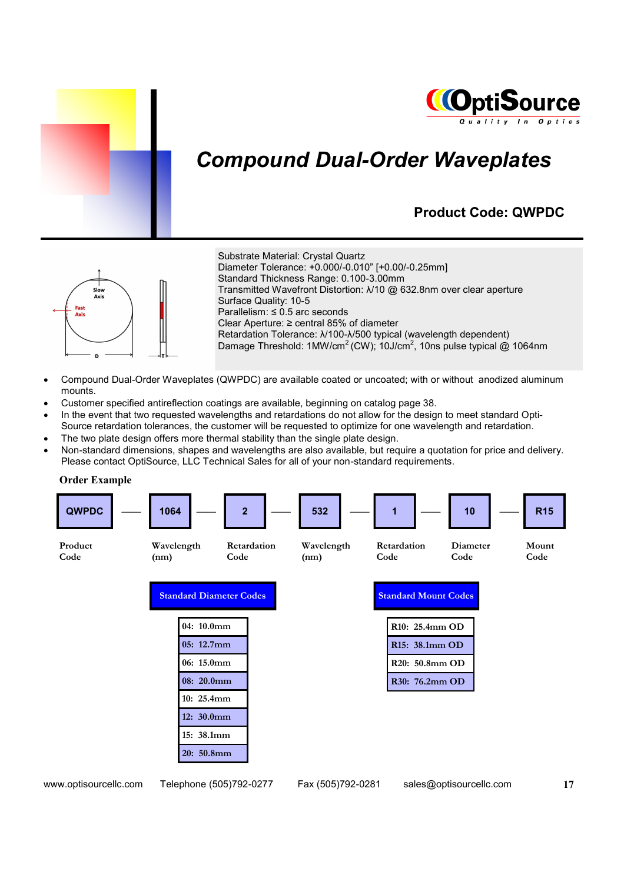



# *Compound Dual-Order Waveplates*

### **Product Code: QWPDC**



Substrate Material: Crystal Quartz Diameter Tolerance: +0.000/-0.010" [+0.00/-0.25mm]

Standard Thickness Range: 0.100-3.00mm Transmitted Wavefront Distortion: λ/10 @ 632.8nm over clear aperture

Surface Quality: 10-5 Parallelism: ≤ 0.5 arc seconds Clear Aperture: ≥ central 85% of diameter Retardation Tolerance: λ/100-λ/500 typical (wavelength dependent)

Damage Threshold: 1MW/cm<sup>2</sup> (CW); 10J/cm<sup>2</sup>, 10ns pulse typical @ 1064nm

- Compound Dual-Order Waveplates (QWPDC) are available coated or uncoated; with or without anodized aluminum mounts.
- Customer specified antireflection coatings are available, beginning on catalog page 38.
- In the event that two requested wavelengths and retardations do not allow for the design to meet standard Opti-Source retardation tolerances, the customer will be requested to optimize for one wavelength and retardation.
- The two plate design offers more thermal stability than the single plate design.
- Non-standard dimensions, shapes and wavelengths are also available, but require a quotation for price and delivery. Please contact OptiSource, LLC Technical Sales for all of your non-standard requirements.

**Order Example**

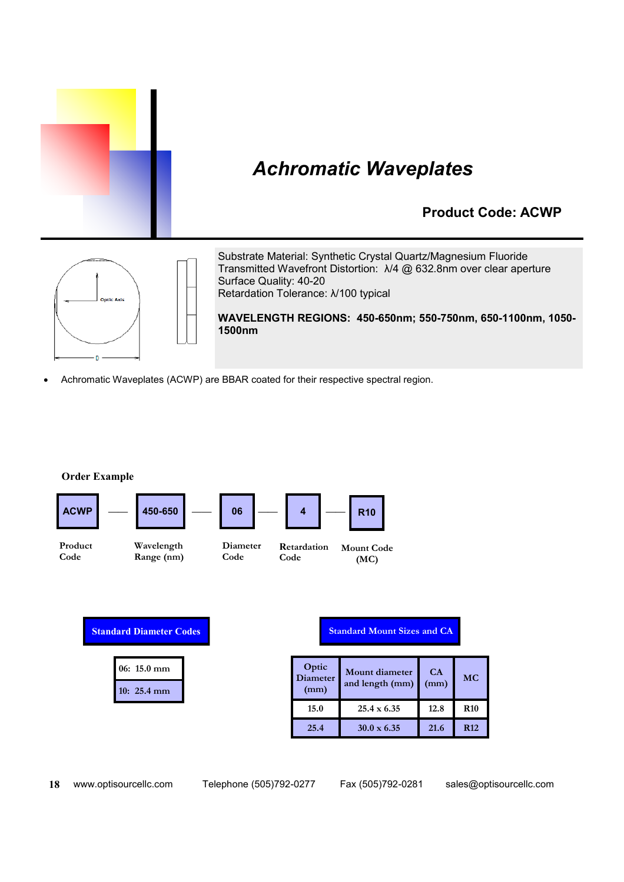

#### **Product Code: ACWP**



Substrate Material: Synthetic Crystal Quartz/Magnesium Fluoride Transmitted Wavefront Distortion: λ/4 @ 632.8nm over clear aperture Surface Quality: 40-20 Retardation Tolerance: λ/100 typical

**WAVELENGTH REGIONS: 450-650nm; 550-750nm, 650-1100nm, 1050- 1500nm**

Achromatic Waveplates (ACWP) are BBAR coated for their respective spectral region.

**Order Example**



|  | $06: 15.0 \text{ mm}$ |
|--|-----------------------|
|  | $10: 25.4 \text{ mm}$ |

#### **Standard Mount Sizes and CA**

| Optic<br><b>Diameter</b><br>(mm) | Mount diameter<br>and length (mm) | CA<br>(mm) | <b>MC</b>  |
|----------------------------------|-----------------------------------|------------|------------|
| 15.0                             | $25.4 \times 6.35$                | 12.8       | <b>R10</b> |
| 25.4                             | $30.0 \times 6.35$                | 21.6       | <b>R12</b> |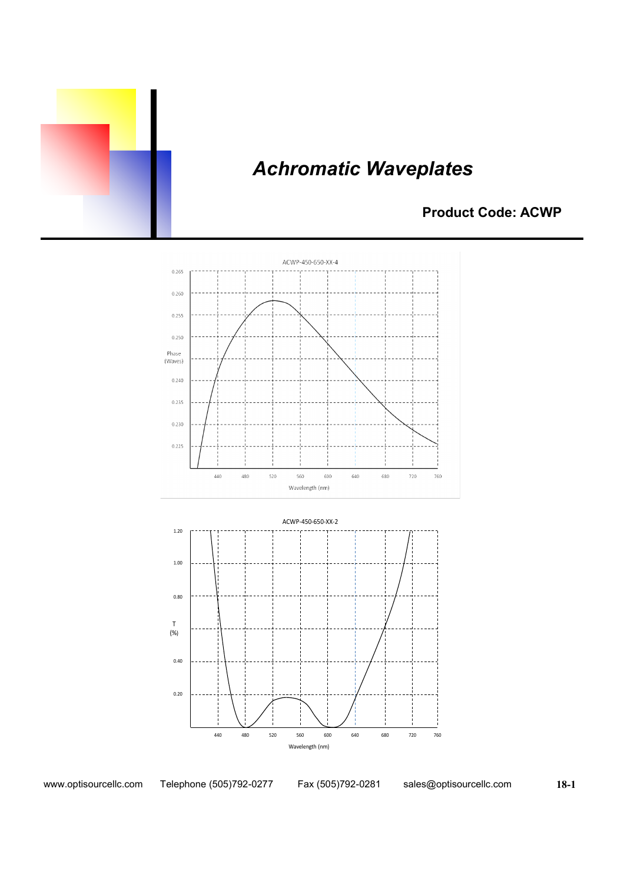

### **Product Code: ACWP**





www.optisourcellc.com Telephone (505)792-0277 Fax (505)792-0281 sales@optisourcellc.com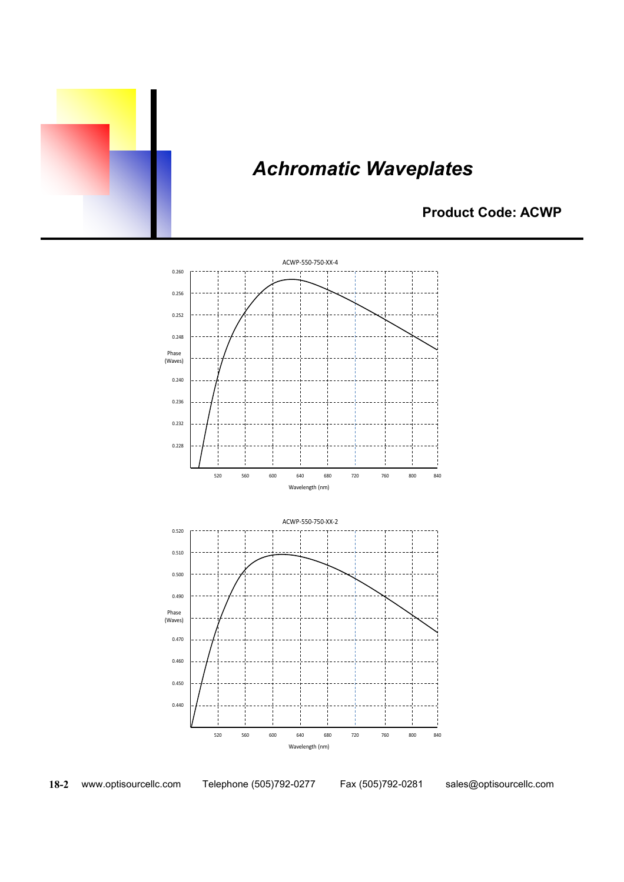

### **Product Code: ACWP**



**18-2** www.optisourcellc.com Telephone (505)792-0277 Fax (505)792-0281 sales@optisourcellc.com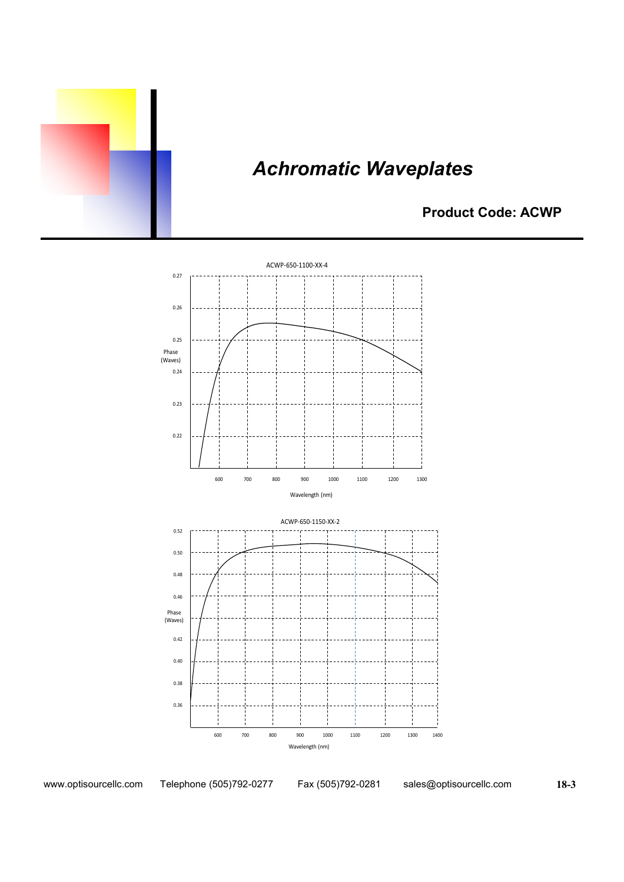

**Product Code: ACWP**



www.optisourcellc.com Telephone (505)792-0277 Fax (505)792-0281 sales@optisourcellc.com

 **18-3**